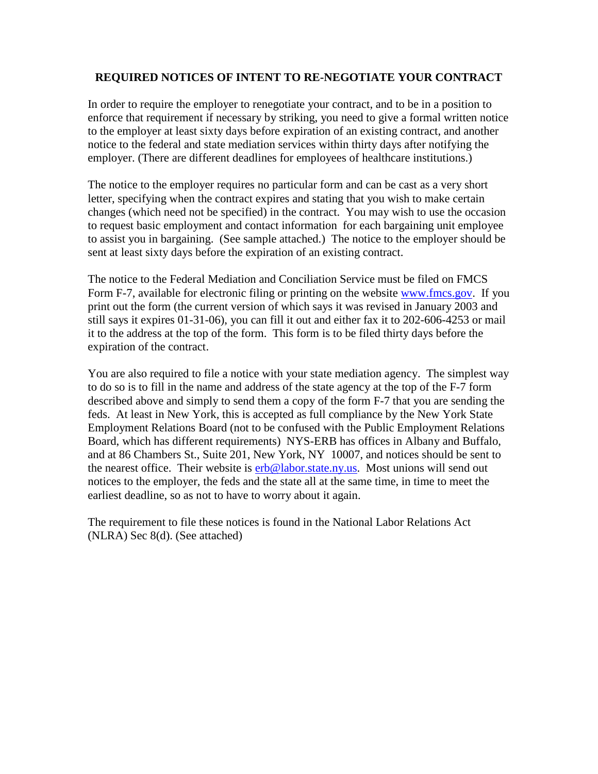## **REQUIRED NOTICES OF INTENT TO RE-NEGOTIATE YOUR CONTRACT**

In order to require the employer to renegotiate your contract, and to be in a position to enforce that requirement if necessary by striking, you need to give a formal written notice to the employer at least sixty days before expiration of an existing contract, and another notice to the federal and state mediation services within thirty days after notifying the employer. (There are different deadlines for employees of healthcare institutions.)

The notice to the employer requires no particular form and can be cast as a very short letter, specifying when the contract expires and stating that you wish to make certain changes (which need not be specified) in the contract. You may wish to use the occasion to request basic employment and contact information for each bargaining unit employee to assist you in bargaining. (See sample attached.) The notice to the employer should be sent at least sixty days before the expiration of an existing contract.

The notice to the Federal Mediation and Conciliation Service must be filed on FMCS Form F-7, available for electronic filing or printing on the website [www.fmcs.gov.](http://www.fmcs.gov/) If you print out the form (the current version of which says it was revised in January 2003 and still says it expires 01-31-06), you can fill it out and either fax it to 202-606-4253 or mail it to the address at the top of the form. This form is to be filed thirty days before the expiration of the contract.

You are also required to file a notice with your state mediation agency. The simplest way to do so is to fill in the name and address of the state agency at the top of the F-7 form described above and simply to send them a copy of the form F-7 that you are sending the feds. At least in New York, this is accepted as full compliance by the New York State Employment Relations Board (not to be confused with the Public Employment Relations Board, which has different requirements) NYS-ERB has offices in Albany and Buffalo, and at 86 Chambers St., Suite 201, New York, NY 10007, and notices should be sent to the nearest office. Their website is [erb@labor.state.ny.us.](mailto:erb@labor.state.ny.us) Most unions will send out notices to the employer, the feds and the state all at the same time, in time to meet the earliest deadline, so as not to have to worry about it again.

The requirement to file these notices is found in the National Labor Relations Act (NLRA) Sec 8(d). (See attached)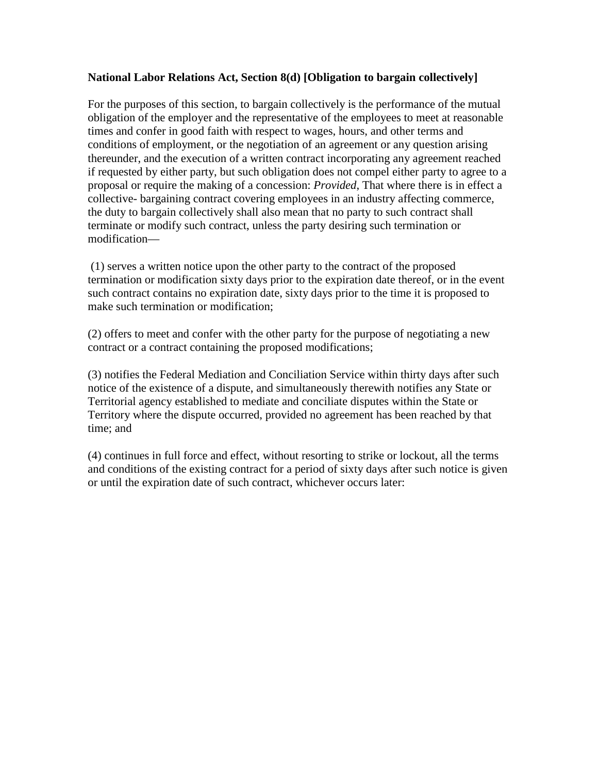## **National Labor Relations Act, Section 8(d) [Obligation to bargain collectively]**

For the purposes of this section, to bargain collectively is the performance of the mutual obligation of the employer and the representative of the employees to meet at reasonable times and confer in good faith with respect to wages, hours, and other terms and conditions of employment, or the negotiation of an agreement or any question arising thereunder, and the execution of a written contract incorporating any agreement reached if requested by either party, but such obligation does not compel either party to agree to a proposal or require the making of a concession: *Provided*, That where there is in effect a collective- bargaining contract covering employees in an industry affecting commerce, the duty to bargain collectively shall also mean that no party to such contract shall terminate or modify such contract, unless the party desiring such termination or modification—

(1) serves a written notice upon the other party to the contract of the proposed termination or modification sixty days prior to the expiration date thereof, or in the event such contract contains no expiration date, sixty days prior to the time it is proposed to make such termination or modification;

(2) offers to meet and confer with the other party for the purpose of negotiating a new contract or a contract containing the proposed modifications;

(3) notifies the Federal Mediation and Conciliation Service within thirty days after such notice of the existence of a dispute, and simultaneously therewith notifies any State or Territorial agency established to mediate and conciliate disputes within the State or Territory where the dispute occurred, provided no agreement has been reached by that time; and

(4) continues in full force and effect, without resorting to strike or lockout, all the terms and conditions of the existing contract for a period of sixty days after such notice is given or until the expiration date of such contract, whichever occurs later: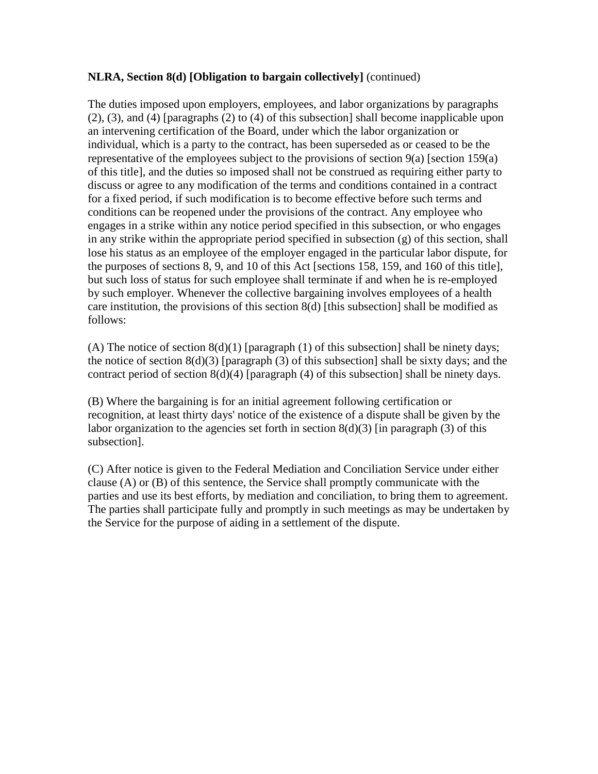## **NLRA, Section 8(d) [Obligation to bargain collectively]** (continued)

The duties imposed upon employers, employees, and labor organizations by paragraphs (2), (3), and (4) [paragraphs (2) to (4) of this subsection] shall become inapplicable upon an intervening certification of the Board, under which the labor organization or individual, which is a party to the contract, has been superseded as or ceased to be the representative of the employees subject to the provisions of section  $9(a)$  [section 159(a) of this title], and the duties so imposed shall not be construed as requiring either party to discuss or agree to any modification of the terms and conditions contained in a contract for a fixed period, if such modification is to become effective before such terms and conditions can be reopened under the provisions of the contract. Any employee who engages in a strike within any notice period specified in this subsection, or who engages in any strike within the appropriate period specified in subsection (g) of this section, shall lose his status as an employee of the employer engaged in the particular labor dispute, for the purposes of sections 8, 9, and 10 of this Act [sections 158, 159, and 160 of this title], but such loss of status for such employee shall terminate if and when he is re-employed by such employer. Whenever the collective bargaining involves employees of a health care institution, the provisions of this section 8(d) [this subsection] shall be modified as follows:

(A) The notice of section  $8(d)(1)$  [paragraph (1) of this subsection] shall be ninety days; the notice of section  $8(d)(3)$  [paragraph (3) of this subsection] shall be sixty days; and the contract period of section 8(d)(4) [paragraph (4) of this subsection] shall be ninety days.

(B) Where the bargaining is for an initial agreement following certification or recognition, at least thirty days' notice of the existence of a dispute shall be given by the labor organization to the agencies set forth in section  $8(d)(3)$  [in paragraph (3) of this subsection].

(C) After notice is given to the Federal Mediation and Conciliation Service under either clause (A) or (B) of this sentence, the Service shall promptly communicate with the parties and use its best efforts, by mediation and conciliation, to bring them to agreement. The parties shall participate fully and promptly in such meetings as may be undertaken by the Service for the purpose of aiding in a settlement of the dispute.